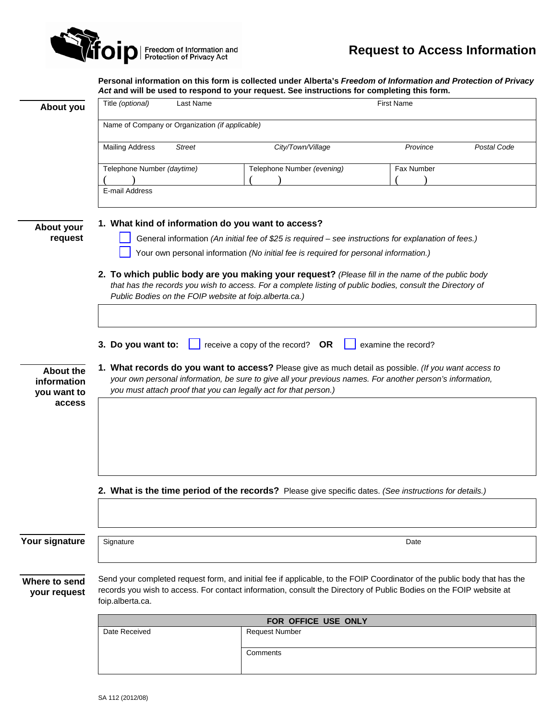

**Personal information on this form is collected under Alberta's** *Freedom of Information and Protection of Privacy Act* **and will be used to respond to your request. See instructions for completing this form.** 

|                                         | Act and will be used to respond to your request. See instructions for completing this form.                                                                                                                                                                                            |               |                            |            |             |
|-----------------------------------------|----------------------------------------------------------------------------------------------------------------------------------------------------------------------------------------------------------------------------------------------------------------------------------------|---------------|----------------------------|------------|-------------|
| About you                               | Title (optional)                                                                                                                                                                                                                                                                       | Last Name     | <b>First Name</b>          |            |             |
|                                         | Name of Company or Organization (if applicable)                                                                                                                                                                                                                                        |               |                            |            |             |
|                                         | <b>Mailing Address</b>                                                                                                                                                                                                                                                                 | <b>Street</b> | City/Town/Village          | Province   | Postal Code |
|                                         | Telephone Number (daytime)                                                                                                                                                                                                                                                             |               | Telephone Number (evening) | Fax Number |             |
|                                         | E-mail Address                                                                                                                                                                                                                                                                         |               |                            |            |             |
|                                         |                                                                                                                                                                                                                                                                                        |               |                            |            |             |
| About your<br>request                   | 1. What kind of information do you want to access?<br>General information (An initial fee of \$25 is required - see instructions for explanation of fees.)<br>Your own personal information (No initial fee is required for personal information.)                                     |               |                            |            |             |
|                                         |                                                                                                                                                                                                                                                                                        |               |                            |            |             |
|                                         | 2. To which public body are you making your request? (Please fill in the name of the public body<br>that has the records you wish to access. For a complete listing of public bodies, consult the Directory of<br>Public Bodies on the FOIP website at foip.alberta.ca.)               |               |                            |            |             |
|                                         |                                                                                                                                                                                                                                                                                        |               |                            |            |             |
|                                         | 3. Do you want to:<br>receive a copy of the record?<br><b>OR</b><br>examine the record?                                                                                                                                                                                                |               |                            |            |             |
| About the<br>information<br>you want to | 1. What records do you want to access? Please give as much detail as possible. (If you want access to<br>your own personal information, be sure to give all your previous names. For another person's information,<br>you must attach proof that you can legally act for that person.) |               |                            |            |             |
| access                                  |                                                                                                                                                                                                                                                                                        |               |                            |            |             |
|                                         |                                                                                                                                                                                                                                                                                        |               |                            |            |             |
|                                         |                                                                                                                                                                                                                                                                                        |               |                            |            |             |
|                                         |                                                                                                                                                                                                                                                                                        |               |                            |            |             |
|                                         | 2. What is the time period of the records? Please give specific dates. (See instructions for details.)                                                                                                                                                                                 |               |                            |            |             |
|                                         |                                                                                                                                                                                                                                                                                        |               |                            |            |             |
| Your signature                          | Signature                                                                                                                                                                                                                                                                              |               |                            | Date       |             |
| Where to send<br>your request           | Send your completed request form, and initial fee if applicable, to the FOIP Coordinator of the public body that has the<br>records you wish to access. For contact information, consult the Directory of Public Bodies on the FOIP website at<br>foip.alberta.ca.                     |               |                            |            |             |
|                                         |                                                                                                                                                                                                                                                                                        |               | FOR OFFICE USE ONLY        |            |             |
|                                         | Date Received                                                                                                                                                                                                                                                                          |               | <b>Request Number</b>      |            |             |
|                                         |                                                                                                                                                                                                                                                                                        |               | Comments                   |            |             |